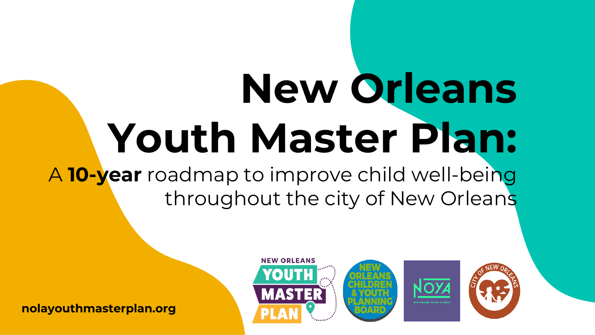# **New Orleans Youth Master Plan:** A **10-year** roadmap to improve child well-being

throughout the city of New Orleans



**nolayouthmasterplan.org**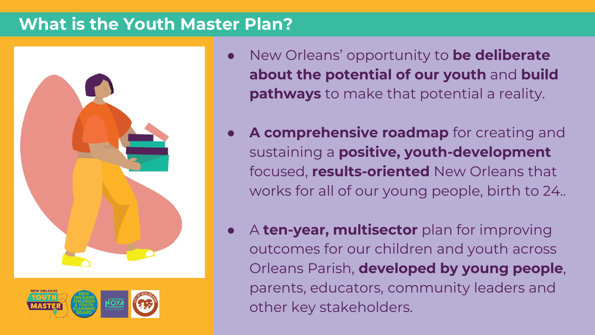#### **What is the Youth Master Plan?**



- New Orleans' opportunity to **be deliberate about the potential of our youth** and **build pathways** to make that potential a reality.
- A comprehensive roadmap for creating and sustaining a **positive, youth-development** focused, **results-oriented** New Orleans that works for all of our young people, birth to 24..
- A **ten-year, multisector** plan for improving outcomes for our children and youth across Orleans Parish, **developed by young people**, parents, educators, community leaders and other key stakeholders.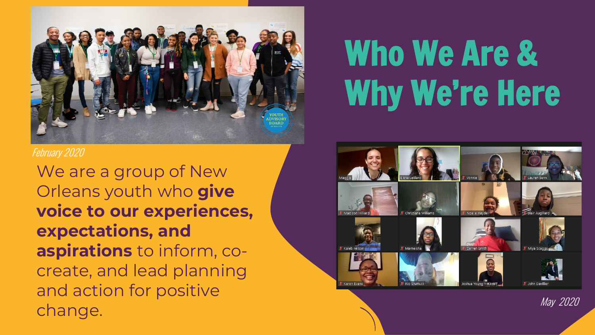

#### February 2020

We are a group of New Orleans youth who **give voice to our experiences, expectations, and aspirations** to inform, cocreate, and lead planning and action for positive change.

## Who We Are & Why We're Here



May 2020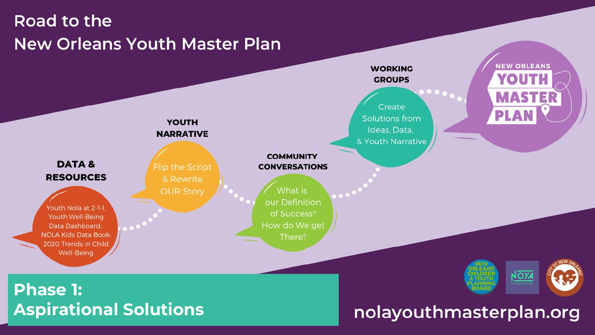### Road to the **New Orleans Youth Master Plan**

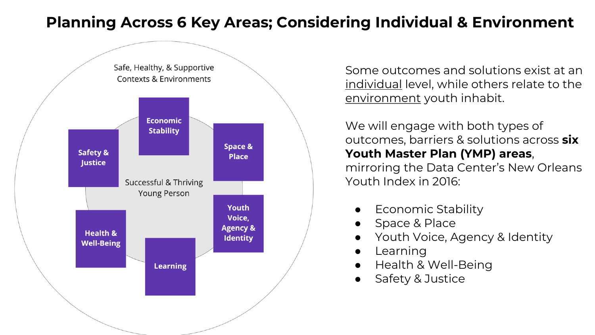#### **Planning Across 6 Key Areas; Considering Individual & Environment**



Some outcomes and solutions exist at an individual level, while others relate to the environment youth inhabit.

We will engage with both types of outcomes, barriers & solutions across **six Youth Master Plan (YMP) areas**, mirroring the Data Center's New Orleans Youth Index in 2016:

- **Economic Stability**
- Space & Place
- Youth Voice, Agency & Identity
- Learning
- Health & Well-Being
- Safety & Justice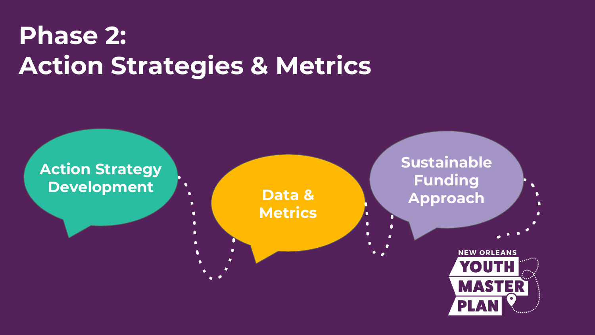### **Phase 2: Action Strategies & Metrics**

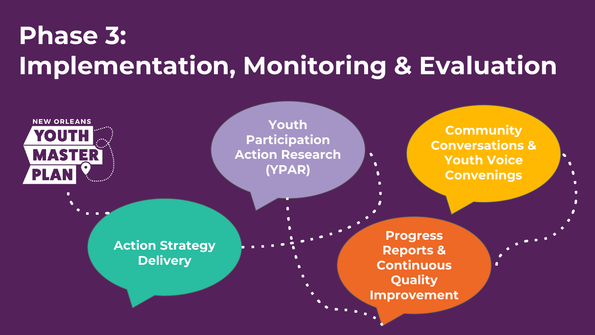### **Phase 3: Implementation, Monitoring & Evaluation**